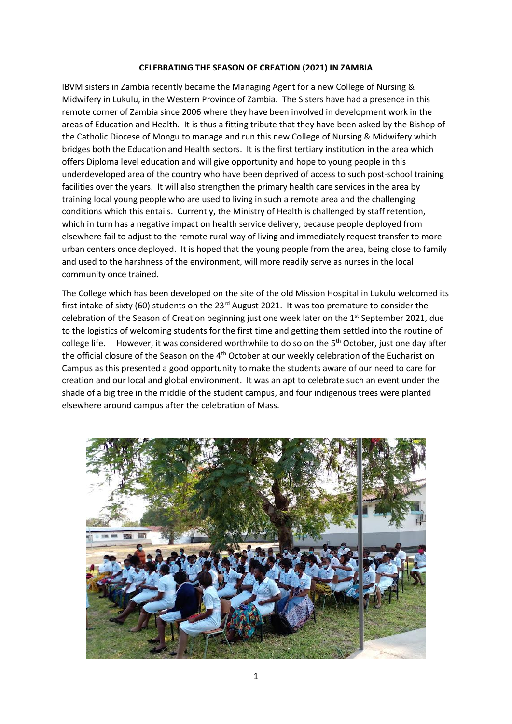## **CELEBRATING THE SEASON OF CREATION (2021) IN ZAMBIA**

IBVM sisters in Zambia recently became the Managing Agent for a new College of Nursing & Midwifery in Lukulu, in the Western Province of Zambia. The Sisters have had a presence in this remote corner of Zambia since 2006 where they have been involved in development work in the areas of Education and Health. It is thus a fitting tribute that they have been asked by the Bishop of the Catholic Diocese of Mongu to manage and run this new College of Nursing & Midwifery which bridges both the Education and Health sectors. It is the first tertiary institution in the area which offers Diploma level education and will give opportunity and hope to young people in this underdeveloped area of the country who have been deprived of access to such post-school training facilities over the years. It will also strengthen the primary health care services in the area by training local young people who are used to living in such a remote area and the challenging conditions which this entails. Currently, the Ministry of Health is challenged by staff retention, which in turn has a negative impact on health service delivery, because people deployed from elsewhere fail to adjust to the remote rural way of living and immediately request transfer to more urban centers once deployed. It is hoped that the young people from the area, being close to family and used to the harshness of the environment, will more readily serve as nurses in the local community once trained.

The College which has been developed on the site of the old Mission Hospital in Lukulu welcomed its first intake of sixty (60) students on the 23<sup>rd</sup> August 2021. It was too premature to consider the celebration of the Season of Creation beginning just one week later on the  $1<sup>st</sup>$  September 2021, due to the logistics of welcoming students for the first time and getting them settled into the routine of college life. However, it was considered worthwhile to do so on the 5<sup>th</sup> October, just one day after the official closure of the Season on the 4<sup>th</sup> October at our weekly celebration of the Eucharist on Campus as this presented a good opportunity to make the students aware of our need to care for creation and our local and global environment. It was an apt to celebrate such an event under the shade of a big tree in the middle of the student campus, and four indigenous trees were planted elsewhere around campus after the celebration of Mass.

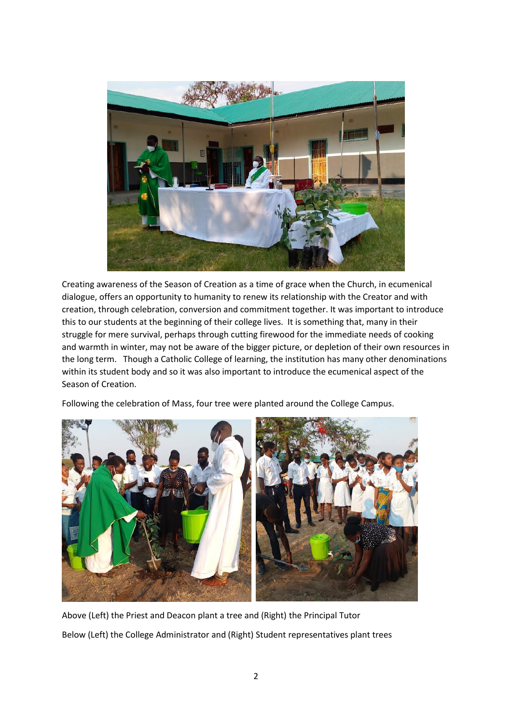

Creating awareness of the Season of Creation as a time of grace when the Church, in ecumenical dialogue, offers an opportunity to humanity to renew its relationship with the Creator and with creation, through celebration, conversion and commitment together. It was important to introduce this to our students at the beginning of their college lives. It is something that, many in their struggle for mere survival, perhaps through cutting firewood for the immediate needs of cooking and warmth in winter, may not be aware of the bigger picture, or depletion of their own resources in the long term. Though a Catholic College of learning, the institution has many other denominations within its student body and so it was also important to introduce the ecumenical aspect of the Season of Creation.

Following the celebration of Mass, four tree were planted around the College Campus.



Above (Left) the Priest and Deacon plant a tree and (Right) the Principal Tutor Below (Left) the College Administrator and (Right) Student representatives plant trees